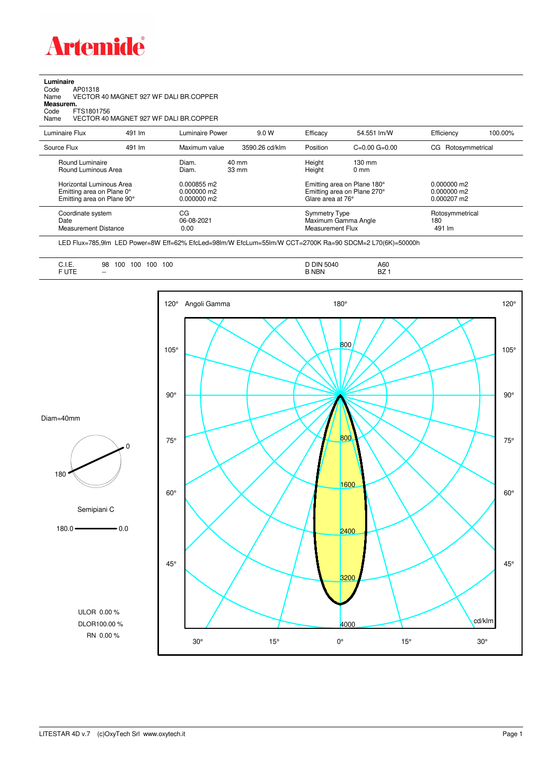

**Luminaire**<br>Code<br>Name Code AP01318 Name VECTOR 40 MAGNET 927 WF DALI BR.COPPER

**Measurem.**

Code FTS1801756 Name VECTOR 40 MAGNET 927 WF DALI BR.COPPER

| Luminaire Flux                                                                                                                | 491 lm | Luminaire Power                                                 | 9.0 W                    | Efficacy                              | 54.551 lm/W                                                                                      | Efficiency                                      | 100.00% |
|-------------------------------------------------------------------------------------------------------------------------------|--------|-----------------------------------------------------------------|--------------------------|---------------------------------------|--------------------------------------------------------------------------------------------------|-------------------------------------------------|---------|
| Source Flux                                                                                                                   | 491 lm | Maximum value                                                   | 3590.26 cd/klm           | Position                              | $C=0.00$ $G=0.00$                                                                                | Rotosymmetrical<br>CG                           |         |
| Round Luminaire<br>Round Luminous Area<br>Horizontal Luminous Area<br>Emitting area on Plane 0°<br>Emitting area on Plane 90° |        | Diam.<br>Diam.<br>0.000855 m2<br>$0.000000$ m2<br>$0.000000$ m2 | 40 mm<br>$33 \text{ mm}$ | Height<br>Height<br>Glare area at 76° | $130 \text{ mm}$<br>$0 \text{ mm}$<br>Emitting area on Plane 180°<br>Emitting area on Plane 270° | $0.000000$ m2<br>$0.000000$ m2<br>$0.000207$ m2 |         |
| Coordinate system<br>Date<br><b>Measurement Distance</b>                                                                      |        | CG<br>06-08-2021<br>0.00                                        |                          |                                       | <b>Symmetry Type</b><br>Maximum Gamma Angle<br>Measurement Flux                                  | Rotosymmetrical<br>180<br>491 lm                |         |

LED Flux=785,9lm LED Power=8W Eff=62% EfcLed=98lm/W EfcLum=55lm/W CCT=2700K Ra=90 SDCM=2 L70(6K)=50000h